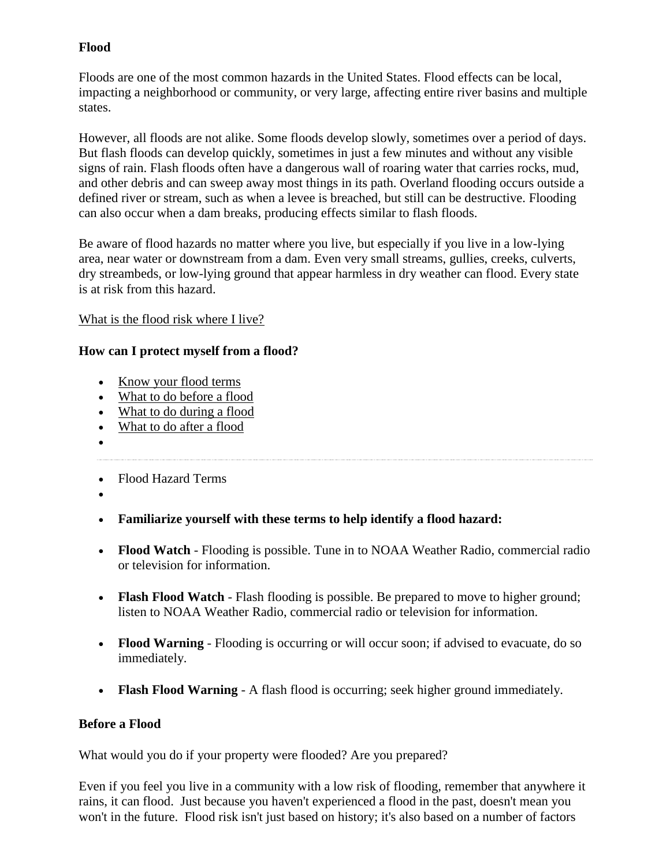# **Flood**

Floods are one of the most common hazards in the United States. Flood effects can be local, impacting a neighborhood or community, or very large, affecting entire river basins and multiple states.

However, all floods are not alike. Some floods develop slowly, sometimes over a period of days. But flash floods can develop quickly, sometimes in just a few minutes and without any visible signs of rain. Flash floods often have a dangerous wall of roaring water that carries rocks, mud, and other debris and can sweep away most things in its path. Overland flooding occurs outside a defined river or stream, such as when a levee is breached, but still can be destructive. Flooding can also occur when a dam breaks, producing effects similar to flash floods.

Be aware of flood hazards no matter where you live, but especially if you live in a low-lying area, near water or downstream from a dam. Even very small streams, gullies, creeks, culverts, dry streambeds, or low-lying ground that appear harmless in dry weather can flood. Every state is at risk from this hazard.

#### [What is the flood risk where I live?](http://water.weather.gov/ahps/)

#### **How can I protect myself from a flood?**

- [Know your flood terms](http://www.fema.gov/hazard/flood/fl_terms.shtm)
- [What to do before a flood](http://www.fema.gov/hazard/flood/fl_before.shtm)
- [What to do during a flood](http://www.fema.gov/hazard/flood/fl_during.shtm)
- [What to do after a flood](http://www.fema.gov/hazard/flood/fl_after.shtm)
- $\bullet$
- [Flood Hazard Terms](javascript:void(0);)
- $\bullet$
- **Familiarize yourself with these terms to help identify a flood hazard:**
- **Flood Watch** Flooding is possible. Tune in to NOAA Weather Radio, commercial radio or television for information.
- **Flash Flood Watch** Flash flooding is possible. Be prepared to move to higher ground; listen to NOAA Weather Radio, commercial radio or television for information.
- **Flood Warning** Flooding is occurring or will occur soon; if advised to evacuate, do so immediately.
- **Flash Flood Warning** A flash flood is occurring; seek higher ground immediately.

#### **Before a Flood**

What would you do if your property were flooded? Are you prepared?

Even if you feel you live in a community with a low risk of flooding, remember that anywhere it rains, it can flood. Just because you haven't experienced a flood in the past, doesn't mean you won't in the future. Flood risk isn't just based on history; it's also based on a number of factors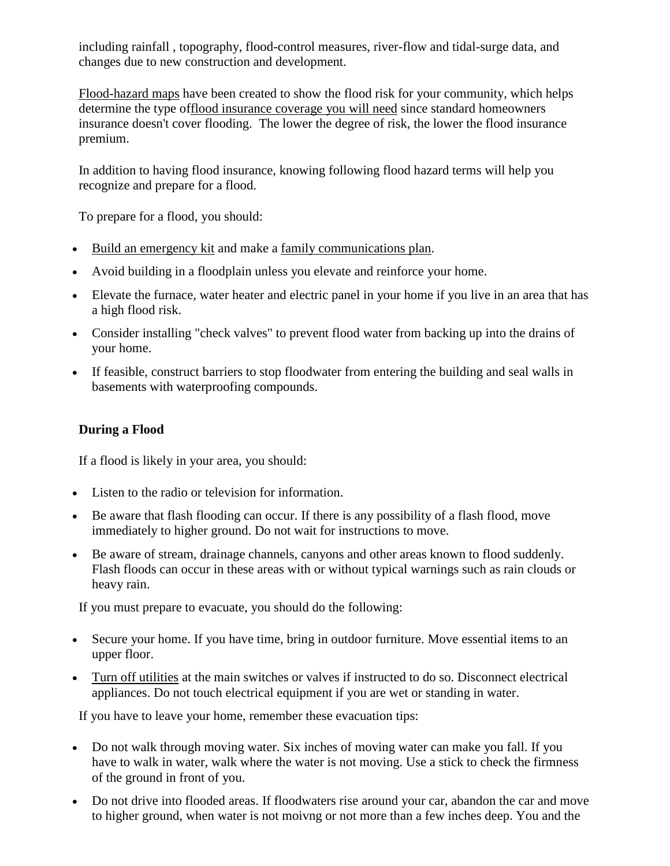including rainfall , topography, flood-control measures, river-flow and tidal-surge data, and changes due to new construction and development.

[Flood-hazard maps](http://www.floodsmart.gov/floodsmart/pages/flooding_flood_risks/understanding_flood_maps.jsp) have been created to show the flood risk for your community, which helps determine the type o[fflood insurance coverage you will need](http://www.floodsmart.gov/) since standard homeowners insurance doesn't cover flooding. The lower the degree of risk, the lower the flood insurance premium.

In addition to having flood insurance, knowing following flood hazard terms will help you recognize and prepare for a flood.

To prepare for a flood, you should:

- [Build an emergency kit](http://www.ready.gov/build-a-kit) and make a [family communications plan.](http://www.ready.gov/make-a-plan)
- Avoid building in a floodplain unless you elevate and reinforce your home.
- Elevate the furnace, water heater and electric panel in your home if you live in an area that has a high flood risk.
- Consider installing "check valves" to prevent flood water from backing up into the drains of your home.
- If feasible, construct barriers to stop floodwater from entering the building and seal walls in basements with waterproofing compounds.

# **During a Flood**

If a flood is likely in your area, you should:

- Listen to the radio or television for information.
- Be aware that flash flooding can occur. If there is any possibility of a flash flood, move immediately to higher ground. Do not wait for instructions to move.
- Be aware of stream, drainage channels, canyons and other areas known to flood suddenly. Flash floods can occur in these areas with or without typical warnings such as rain clouds or heavy rain.

If you must prepare to evacuate, you should do the following:

- Secure your home. If you have time, bring in outdoor furniture. Move essential items to an upper floor.
- [Turn off utilities](http://www.ready.gov/utility-shut-safety) at the main switches or valves if instructed to do so. Disconnect electrical appliances. Do not touch electrical equipment if you are wet or standing in water.

If you have to leave your home, remember these evacuation tips:

- Do not walk through moving water. Six inches of moving water can make you fall. If you have to walk in water, walk where the water is not moving. Use a stick to check the firmness of the ground in front of you.
- Do not drive into flooded areas. If floodwaters rise around your car, abandon the car and move to higher ground, when water is not moivng or not more than a few inches deep. You and the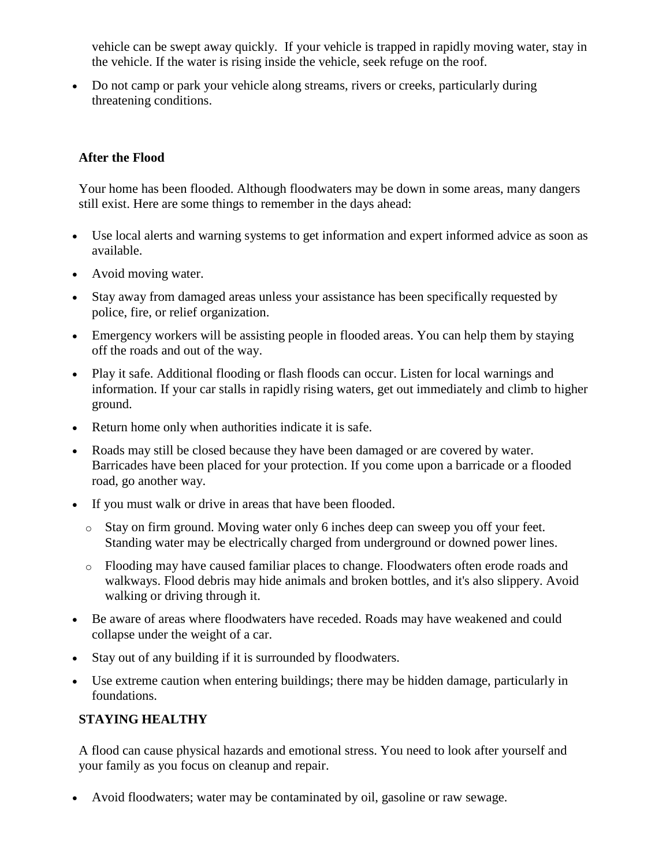vehicle can be swept away quickly. If your vehicle is trapped in rapidly moving water, stay in the vehicle. If the water is rising inside the vehicle, seek refuge on the roof.

 Do not camp or park your vehicle along streams, rivers or creeks, particularly during threatening conditions.

## **After the Flood**

Your home has been flooded. Although floodwaters may be down in some areas, many dangers still exist. Here are some things to remember in the days ahead:

- Use local alerts and warning systems to get information and expert informed advice as soon as available.
- Avoid moving water.
- Stay away from damaged areas unless your assistance has been specifically requested by police, fire, or relief organization.
- Emergency workers will be assisting people in flooded areas. You can help them by staying off the roads and out of the way.
- Play it safe. Additional flooding or flash floods can occur. Listen for local warnings and information. If your car stalls in rapidly rising waters, get out immediately and climb to higher ground.
- Return home only when authorities indicate it is safe.
- Roads may still be closed because they have been damaged or are covered by water. Barricades have been placed for your protection. If you come upon a barricade or a flooded road, go another way.
- If you must walk or drive in areas that have been flooded.
	- o Stay on firm ground. Moving water only 6 inches deep can sweep you off your feet. Standing water may be electrically charged from underground or downed power lines.
	- o Flooding may have caused familiar places to change. Floodwaters often erode roads and walkways. Flood debris may hide animals and broken bottles, and it's also slippery. Avoid walking or driving through it.
- Be aware of areas where floodwaters have receded. Roads may have weakened and could collapse under the weight of a car.
- Stay out of any building if it is surrounded by floodwaters.
- Use extreme caution when entering buildings; there may be hidden damage, particularly in foundations.

## **STAYING HEALTHY**

A flood can cause physical hazards and emotional stress. You need to look after yourself and your family as you focus on cleanup and repair.

Avoid floodwaters; water may be contaminated by oil, gasoline or raw sewage.